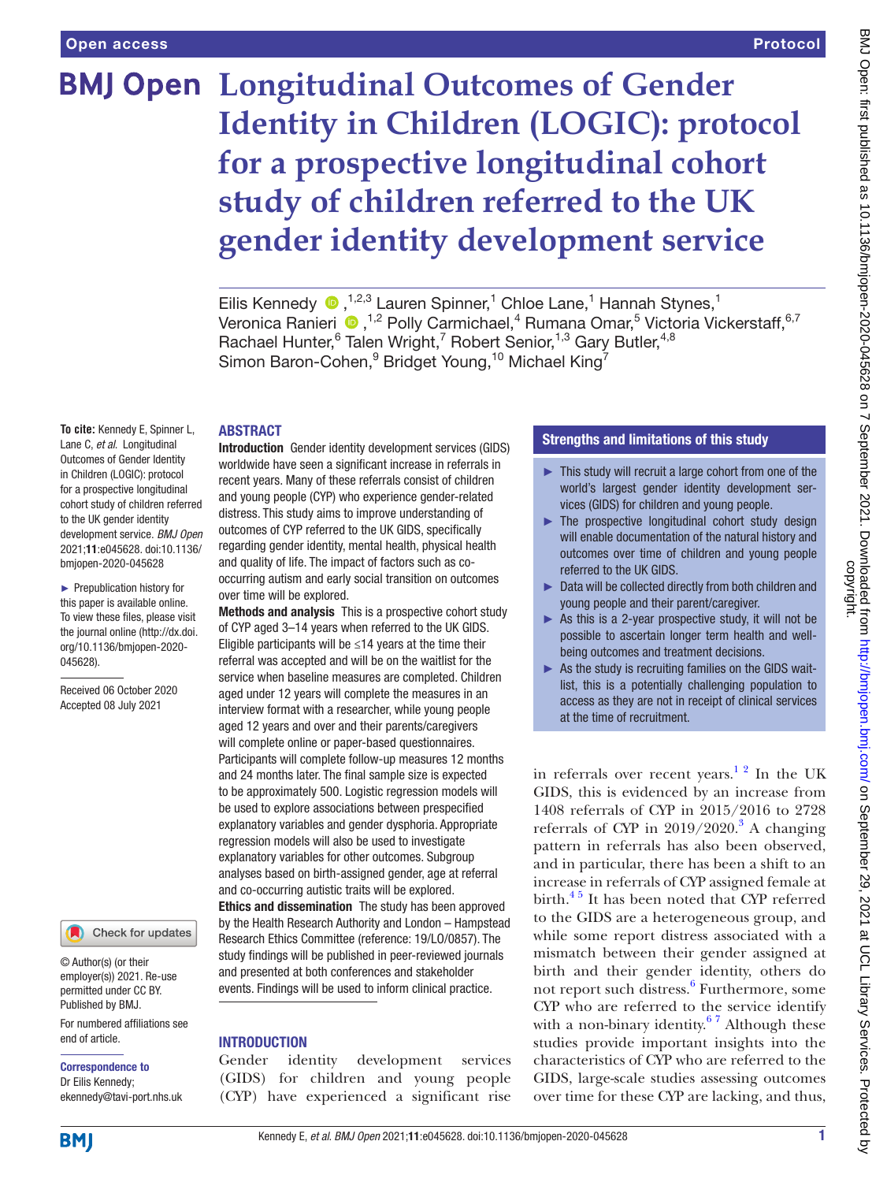# **BMJ Open Longitudinal Outcomes of Gender Identity in Children (LOGIC): protocol for a prospective longitudinal cohort study of children referred to the UK gender identity development service**

Eilis Kennedy <sup>(D)</sup>,<sup>1,2,3</sup> Lauren Spinner,<sup>1</sup> Chloe Lane,<sup>1</sup> Hannah Stynes,<sup>1</sup> VeronicaRanieri  $\bigcirc$ , <sup>1,2</sup> Polly Carmichael,<sup>4</sup> Rumana Omar,<sup>5</sup> Victoria Vickerstaff, <sup>6,7</sup> Rachael Hunter, <sup>6</sup> Talen Wright, <sup>7</sup> Robert Senior, <sup>1,3</sup> Gary Butler, <sup>4,8</sup> Simon Baron-Cohen,  $9$  Bridget Young,  $10$  Michael King<sup>7</sup>

## ABSTRACT

**To cite:** Kennedy E, Spinner L, Lane C, *et al*. Longitudinal Outcomes of Gender Identity in Children (LOGIC): protocol for a prospective longitudinal cohort study of children referred to the UK gender identity development service. *BMJ Open* 2021;11:e045628. doi:10.1136/ bmjopen-2020-045628

► Prepublication history for this paper is available online. To view these files, please visit the journal online (http://dx.doi. org/10.1136/bmjopen-2020- 045628).

Received 06 October 2020 Accepted 08 July 2021

#### Check for updates

© Author(s) (or their employer(s)) 2021. Re-use permitted under CC BY. Published by BMJ.

For numbered affiliations see end of article.

# Correspondence to

Dr Eilis Kennedy; ekennedy@tavi-port.nhs.uk

Introduction Gender identity development services (GIDS) worldwide have seen a significant increase in referrals in recent years. Many of these referrals consist of children and young people (CYP) who experience gender-related distress. This study aims to improve understanding of outcomes of CYP referred to the UK GIDS, specifically regarding gender identity, mental health, physical health and quality of life. The impact of factors such as cooccurring autism and early social transition on outcomes over time will be explored.

Methods and analysis This is a prospective cohort study of CYP aged 3–14 years when referred to the UK GIDS. Eligible participants will be  $\leq$ 14 years at the time their referral was accepted and will be on the waitlist for the service when baseline measures are completed. Children aged under 12 years will complete the measures in an interview format with a researcher, while young people aged 12 years and over and their parents/caregivers will complete online or paper-based questionnaires. Participants will complete follow-up measures 12 months and 24 months later. The final sample size is expected to be approximately 500. Logistic regression models will be used to explore associations between prespecified explanatory variables and gender dysphoria. Appropriate regression models will also be used to investigate explanatory variables for other outcomes. Subgroup analyses based on birth-assigned gender, age at referral and co-occurring autistic traits will be explored. Ethics and dissemination The study has been approved by the Health Research Authority and London – Hampstead Research Ethics Committee (reference: 19/LO/0857). The study findings will be published in peer-reviewed journals and presented at both conferences and stakeholder events. Findings will be used to inform clinical practice.

# **INTRODUCTION**

Gender identity development services (GIDS) for children and young people (CYP) have experienced a significant rise

# Strengths and limitations of this study

- ► This study will recruit a large cohort from one of the world's largest gender identity development services (GIDS) for children and young people.
- ► The prospective longitudinal cohort study design will enable documentation of the natural history and outcomes over time of children and young people referred to the UK GIDS.
- ► Data will be collected directly from both children and young people and their parent/caregiver.
- ► As this is a 2-year prospective study, it will not be possible to ascertain longer term health and wellbeing outcomes and treatment decisions.
- $\triangleright$  As the study is recruiting families on the GIDS waitlist, this is a potentially challenging population to access as they are not in receipt of clinical services at the time of recruitment.

in referrals over recent years.<sup>12</sup> In the UK GIDS, this is evidenced by an increase from 1408 referrals of CYP in 2015/2016 to 2728 referrals of CYP in  $2019/2020$ .<sup>3</sup> A changing pattern in referrals has also been observed, and in particular, there has been a shift to an increase in referrals of CYP assigned female at birth. $45$  It has been noted that CYP referred to the GIDS are a heterogeneous group, and while some report distress associated with a mismatch between their gender assigned at birth and their gender identity, others do not report such distress.<sup>[6](#page-6-3)</sup> Furthermore, some CYP who are referred to the service identify with a non-binary identity.<sup>67</sup> Although these studies provide important insights into the characteristics of CYP who are referred to the GIDS, large-scale studies assessing outcomes over time for these CYP are lacking, and thus,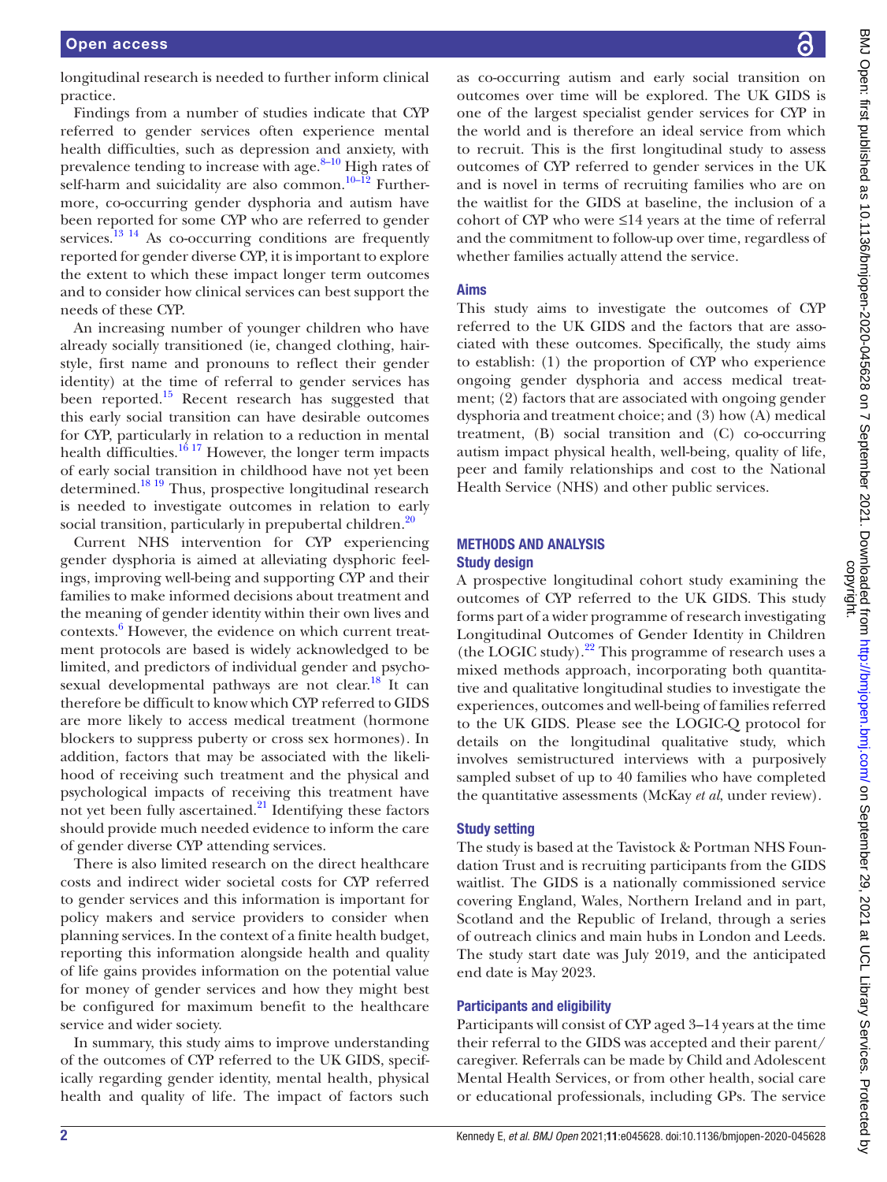longitudinal research is needed to further inform clinical practice.

Findings from a number of studies indicate that CYP referred to gender services often experience mental health difficulties, such as depression and anxiety, with prevalence tending to increase with age. $8-10$  High rates of self-harm and suicidality are also common.<sup>10-12</sup> Furthermore, co-occurring gender dysphoria and autism have been reported for some CYP who are referred to gender services.<sup>[13 14](#page-6-6)</sup> As co-occurring conditions are frequently reported for gender diverse CYP, it is important to explore the extent to which these impact longer term outcomes and to consider how clinical services can best support the needs of these CYP.

An increasing number of younger children who have already socially transitioned (ie, changed clothing, hairstyle, first name and pronouns to reflect their gender identity) at the time of referral to gender services has been reported.<sup>15</sup> Recent research has suggested that this early social transition can have desirable outcomes for CYP, particularly in relation to a reduction in mental health difficulties.<sup>16 17</sup> However, the longer term impacts of early social transition in childhood have not yet been determined.[18 19](#page-7-0) Thus, prospective longitudinal research is needed to investigate outcomes in relation to early social transition, particularly in prepubertal children.<sup>20</sup>

Current NHS intervention for CYP experiencing gender dysphoria is aimed at alleviating dysphoric feelings, improving well-being and supporting CYP and their families to make informed decisions about treatment and the meaning of gender identity within their own lives and contexts.<sup>6</sup> However, the evidence on which current treatment protocols are based is widely acknowledged to be limited, and predictors of individual gender and psychosexual developmental pathways are not clear.<sup>18</sup> It can therefore be difficult to know which CYP referred to GIDS are more likely to access medical treatment (hormone blockers to suppress puberty or cross sex hormones). In addition, factors that may be associated with the likelihood of receiving such treatment and the physical and psychological impacts of receiving this treatment have not yet been fully ascertained. $^{21}$  Identifying these factors should provide much needed evidence to inform the care of gender diverse CYP attending services.

There is also limited research on the direct healthcare costs and indirect wider societal costs for CYP referred to gender services and this information is important for policy makers and service providers to consider when planning services. In the context of a finite health budget, reporting this information alongside health and quality of life gains provides information on the potential value for money of gender services and how they might best be configured for maximum benefit to the healthcare service and wider society.

In summary, this study aims to improve understanding of the outcomes of CYP referred to the UK GIDS, specifically regarding gender identity, mental health, physical health and quality of life. The impact of factors such

as co-occurring autism and early social transition on outcomes over time will be explored. The UK GIDS is one of the largest specialist gender services for CYP in the world and is therefore an ideal service from which to recruit. This is the first longitudinal study to assess outcomes of CYP referred to gender services in the UK and is novel in terms of recruiting families who are on the waitlist for the GIDS at baseline, the inclusion of a cohort of CYP who were ≤14 years at the time of referral and the commitment to follow-up over time, regardless of whether families actually attend the service.

#### Aims

This study aims to investigate the outcomes of CYP referred to the UK GIDS and the factors that are associated with these outcomes. Specifically, the study aims to establish: (1) the proportion of CYP who experience ongoing gender dysphoria and access medical treatment; (2) factors that are associated with ongoing gender dysphoria and treatment choice; and (3) how (A) medical treatment, (B) social transition and (C) co-occurring autism impact physical health, well-being, quality of life, peer and family relationships and cost to the National Health Service (NHS) and other public services.

### METHODS AND ANALYSIS Study design

A prospective longitudinal cohort study examining the outcomes of CYP referred to the UK GIDS. This study forms part of a wider programme of research investigating Longitudinal Outcomes of Gender Identity in Children (the LOGIC study). $^{22}$  This programme of research uses a mixed methods approach, incorporating both quantitative and qualitative longitudinal studies to investigate the experiences, outcomes and well-being of families referred to the UK GIDS. Please see the LOGIC-Q protocol for details on the longitudinal qualitative study, which involves semistructured interviews with a purposively sampled subset of up to 40 families who have completed the quantitative assessments (McKay *et al*, under review).

### Study setting

The study is based at the Tavistock & Portman NHS Foundation Trust and is recruiting participants from the GIDS waitlist. The GIDS is a nationally commissioned service covering England, Wales, Northern Ireland and in part, Scotland and the Republic of Ireland, through a series of outreach clinics and main hubs in London and Leeds. The study start date was July 2019, and the anticipated end date is May 2023.

### Participants and eligibility

Participants will consist of CYP aged 3–14 years at the time their referral to the GIDS was accepted and their parent/ caregiver. Referrals can be made by Child and Adolescent Mental Health Services, or from other health, social care or educational professionals, including GPs. The service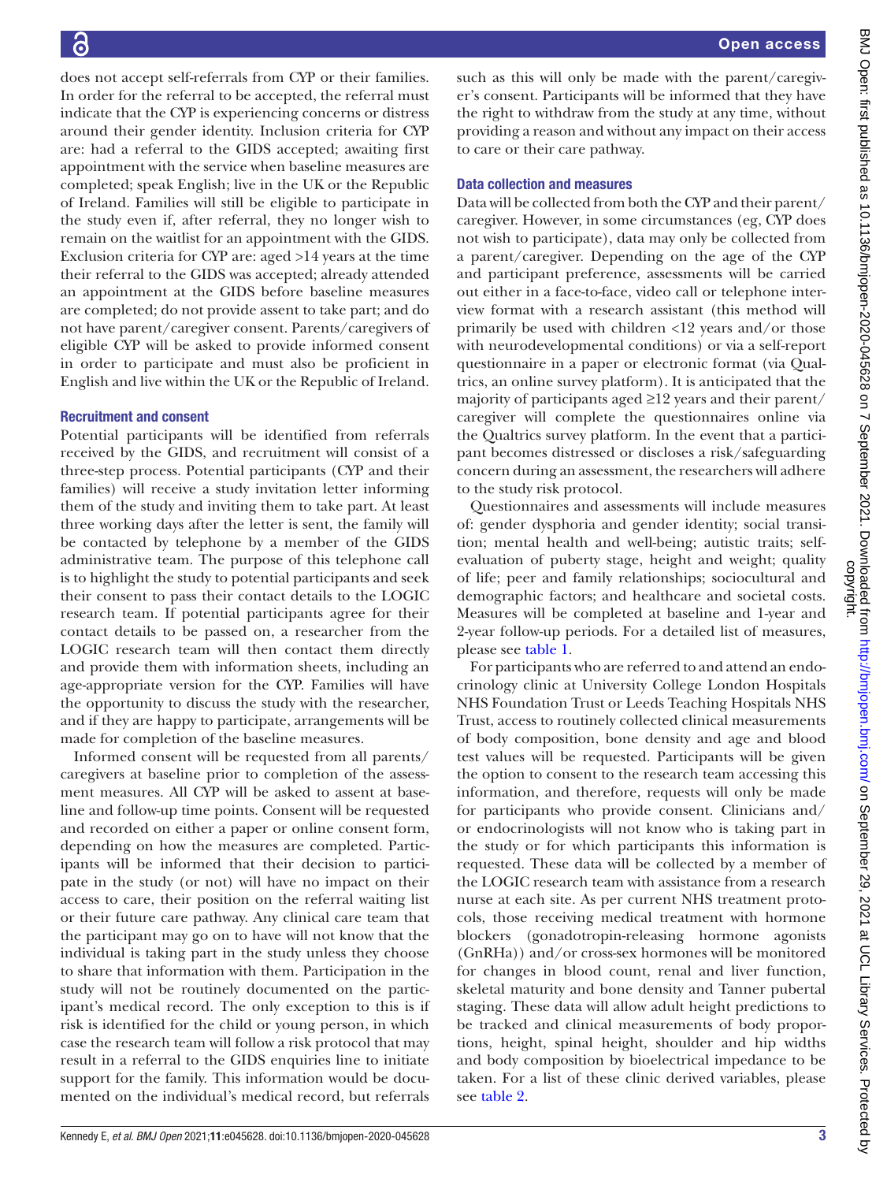such as this will only be made with the parent/caregiver's consent. Participants will be informed that they have the right to withdraw from the study at any time, without providing a reason and without any impact on their access to care or their care pathway. Data collection and measures Data will be collected from both the CYP and their parent/ caregiver. However, in some circumstances (eg, CYP does not wish to participate), data may only be collected from a parent/caregiver. Depending on the age of the CYP and participant preference, assessments will be carried out either in a face-to-face, video call or telephone interview format with a research assistant (this method will primarily be used with children <12 years and/or those with neurodevelopmental conditions) or via a self-report questionnaire in a paper or electronic format (via Qualtrics, an online survey platform). It is anticipated that the majority of participants aged ≥12 years and their parent/ caregiver will complete the questionnaires online via the Qualtrics survey platform. In the event that a participant becomes distressed or discloses a risk/safeguarding concern during an assessment, the researchers will adhere to the study risk protocol. Questionnaires and assessments will include measures

of: gender dysphoria and gender identity; social transition; mental health and well-being; autistic traits; selfevaluation of puberty stage, height and weight; quality of life; peer and family relationships; sociocultural and demographic factors; and healthcare and societal costs. Measures will be completed at baseline and 1-year and 2-year follow-up periods. For a detailed list of measures, please see [table](#page-3-0) 1.

For participants who are referred to and attend an endocrinology clinic at University College London Hospitals NHS Foundation Trust or Leeds Teaching Hospitals NHS Trust, access to routinely collected clinical measurements of body composition, bone density and age and blood test values will be requested. Participants will be given the option to consent to the research team accessing this information, and therefore, requests will only be made for participants who provide consent. Clinicians and/ or endocrinologists will not know who is taking part in the study or for which participants this information is requested. These data will be collected by a member of the LOGIC research team with assistance from a research nurse at each site. As per current NHS treatment protocols, those receiving medical treatment with hormone blockers (gonadotropin-releasing hormone agonists (GnRHa)) and/or cross-sex hormones will be monitored for changes in blood count, renal and liver function, skeletal maturity and bone density and Tanner pubertal staging. These data will allow adult height predictions to be tracked and clinical measurements of body proportions, height, spinal height, shoulder and hip widths and body composition by bioelectrical impedance to be taken. For a list of these clinic derived variables, please see [table](#page-4-0) 2.

does not accept self-referrals from CYP or their families. In order for the referral to be accepted, the referral must indicate that the CYP is experiencing concerns or distress around their gender identity. Inclusion criteria for CYP are: had a referral to the GIDS accepted; awaiting first appointment with the service when baseline measures are completed; speak English; live in the UK or the Republic of Ireland. Families will still be eligible to participate in the study even if, after referral, they no longer wish to remain on the waitlist for an appointment with the GIDS. Exclusion criteria for CYP are: aged >14 years at the time their referral to the GIDS was accepted; already attended an appointment at the GIDS before baseline measures are completed; do not provide assent to take part; and do not have parent/caregiver consent. Parents/caregivers of eligible CYP will be asked to provide informed consent in order to participate and must also be proficient in English and live within the UK or the Republic of Ireland.

# Recruitment and consent

Potential participants will be identified from referrals received by the GIDS, and recruitment will consist of a three-step process. Potential participants (CYP and their families) will receive a study invitation letter informing them of the study and inviting them to take part. At least three working days after the letter is sent, the family will be contacted by telephone by a member of the GIDS administrative team. The purpose of this telephone call is to highlight the study to potential participants and seek their consent to pass their contact details to the LOGIC research team. If potential participants agree for their contact details to be passed on, a researcher from the LOGIC research team will then contact them directly and provide them with information sheets, including an age-appropriate version for the CYP. Families will have the opportunity to discuss the study with the researcher, and if they are happy to participate, arrangements will be made for completion of the baseline measures.

Informed consent will be requested from all parents/ caregivers at baseline prior to completion of the assessment measures. All CYP will be asked to assent at baseline and follow-up time points. Consent will be requested and recorded on either a paper or online consent form, depending on how the measures are completed. Participants will be informed that their decision to participate in the study (or not) will have no impact on their access to care, their position on the referral waiting list or their future care pathway. Any clinical care team that the participant may go on to have will not know that the individual is taking part in the study unless they choose to share that information with them. Participation in the study will not be routinely documented on the participant's medical record. The only exception to this is if risk is identified for the child or young person, in which case the research team will follow a risk protocol that may result in a referral to the GIDS enquiries line to initiate support for the family. This information would be documented on the individual's medical record, but referrals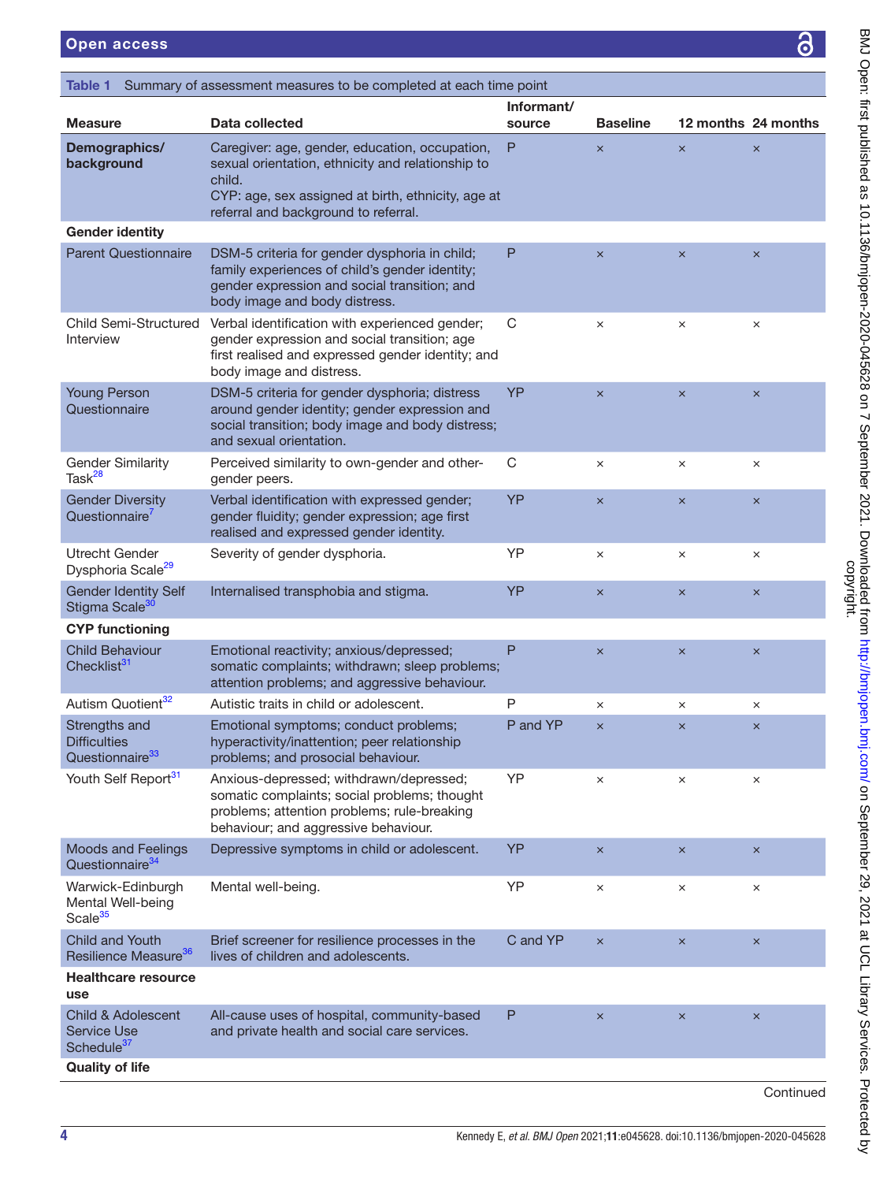# <span id="page-3-0"></span>Open access

| Informant/<br>12 months 24 months<br>Data collected<br><b>Baseline</b><br>source<br>Caregiver: age, gender, education, occupation,<br>P<br>$\times$<br>$\times$<br>$\times$<br>sexual orientation, ethnicity and relationship to<br>child.<br>CYP: age, sex assigned at birth, ethnicity, age at<br>referral and background to referral.<br>P<br>DSM-5 criteria for gender dysphoria in child;<br>$\boldsymbol{\times}$<br>$\times$<br>$\pmb{\times}$<br>family experiences of child's gender identity;<br>gender expression and social transition; and<br>body image and body distress.<br>$\mathsf C$<br>Verbal identification with experienced gender;<br>$\times$<br>$\times$<br>$\times$<br>gender expression and social transition; age<br>first realised and expressed gender identity; and<br>body image and distress.<br>YP<br>DSM-5 criteria for gender dysphoria; distress<br>$\times$<br>$\times$<br>$\boldsymbol{\times}$<br>around gender identity; gender expression and<br>social transition; body image and body distress;<br>and sexual orientation.<br>C<br>Perceived similarity to own-gender and other-<br>$\times$<br>$\times$<br>$\times$<br>gender peers.<br>YP<br>Verbal identification with expressed gender;<br>$\times$<br>$\times$<br>$\times$<br>gender fluidity; gender expression; age first<br>realised and expressed gender identity.<br>YP<br>Severity of gender dysphoria.<br>$\times$<br>×<br>$\times$<br>YP<br>Internalised transphobia and stigma.<br>$\pmb{\times}$<br>$\boldsymbol{\times}$<br>$\boldsymbol{\mathsf{x}}$<br>Emotional reactivity; anxious/depressed;<br>P<br>$\boldsymbol{\times}$<br>$\times$<br>$\boldsymbol{\times}$<br>somatic complaints; withdrawn; sleep problems;<br>attention problems; and aggressive behaviour.<br>Autistic traits in child or adolescent.<br>Ρ<br>$\times$<br>$\times$<br>$\times$<br>P and YP<br>Emotional symptoms; conduct problems;<br>$\times$<br>$\boldsymbol{\times}$<br>$\boldsymbol{\times}$<br>hyperactivity/inattention; peer relationship<br>problems; and prosocial behaviour.<br>YP<br>Anxious-depressed; withdrawn/depressed;<br>$\times$<br>$\times$<br>$\times$<br>somatic complaints; social problems; thought<br>problems; attention problems; rule-breaking<br>behaviour; and aggressive behaviour.<br>YP<br>Depressive symptoms in child or adolescent.<br>$\boldsymbol{\times}$<br>$\times$<br>$\boldsymbol{\times}$<br>YP<br>Mental well-being.<br>$\times$<br>$\times$<br>$\times$<br>Brief screener for resilience processes in the<br>C and YP<br>$\pmb{\times}$<br>$\boldsymbol{\times}$<br>$\boldsymbol{\times}$<br>lives of children and adolescents.<br>P<br>All-cause uses of hospital, community-based<br>$\times$<br>$\pmb{\times}$<br>$\boldsymbol{\times}$<br>and private health and social care services. | Table 1                            | Summary of assessment measures to be completed at each time point |  |           |
|------------------------------------------------------------------------------------------------------------------------------------------------------------------------------------------------------------------------------------------------------------------------------------------------------------------------------------------------------------------------------------------------------------------------------------------------------------------------------------------------------------------------------------------------------------------------------------------------------------------------------------------------------------------------------------------------------------------------------------------------------------------------------------------------------------------------------------------------------------------------------------------------------------------------------------------------------------------------------------------------------------------------------------------------------------------------------------------------------------------------------------------------------------------------------------------------------------------------------------------------------------------------------------------------------------------------------------------------------------------------------------------------------------------------------------------------------------------------------------------------------------------------------------------------------------------------------------------------------------------------------------------------------------------------------------------------------------------------------------------------------------------------------------------------------------------------------------------------------------------------------------------------------------------------------------------------------------------------------------------------------------------------------------------------------------------------------------------------------------------------------------------------------------------------------------------------------------------------------------------------------------------------------------------------------------------------------------------------------------------------------------------------------------------------------------------------------------------------------------------------------------------------------------------------------------------------------------------------------------------------------------------------------------------------------------------------------------------------------------------------------------------------------------------------------------------------------------|------------------------------------|-------------------------------------------------------------------|--|-----------|
|                                                                                                                                                                                                                                                                                                                                                                                                                                                                                                                                                                                                                                                                                                                                                                                                                                                                                                                                                                                                                                                                                                                                                                                                                                                                                                                                                                                                                                                                                                                                                                                                                                                                                                                                                                                                                                                                                                                                                                                                                                                                                                                                                                                                                                                                                                                                                                                                                                                                                                                                                                                                                                                                                                                                                                                                                                    | <b>Measure</b>                     |                                                                   |  |           |
| <b>Gender identity</b><br><b>Parent Questionnaire</b>                                                                                                                                                                                                                                                                                                                                                                                                                                                                                                                                                                                                                                                                                                                                                                                                                                                                                                                                                                                                                                                                                                                                                                                                                                                                                                                                                                                                                                                                                                                                                                                                                                                                                                                                                                                                                                                                                                                                                                                                                                                                                                                                                                                                                                                                                                                                                                                                                                                                                                                                                                                                                                                                                                                                                                              | Demographics/<br>background        |                                                                   |  |           |
|                                                                                                                                                                                                                                                                                                                                                                                                                                                                                                                                                                                                                                                                                                                                                                                                                                                                                                                                                                                                                                                                                                                                                                                                                                                                                                                                                                                                                                                                                                                                                                                                                                                                                                                                                                                                                                                                                                                                                                                                                                                                                                                                                                                                                                                                                                                                                                                                                                                                                                                                                                                                                                                                                                                                                                                                                                    |                                    |                                                                   |  |           |
|                                                                                                                                                                                                                                                                                                                                                                                                                                                                                                                                                                                                                                                                                                                                                                                                                                                                                                                                                                                                                                                                                                                                                                                                                                                                                                                                                                                                                                                                                                                                                                                                                                                                                                                                                                                                                                                                                                                                                                                                                                                                                                                                                                                                                                                                                                                                                                                                                                                                                                                                                                                                                                                                                                                                                                                                                                    |                                    |                                                                   |  |           |
| <b>Young Person</b><br>Questionnaire                                                                                                                                                                                                                                                                                                                                                                                                                                                                                                                                                                                                                                                                                                                                                                                                                                                                                                                                                                                                                                                                                                                                                                                                                                                                                                                                                                                                                                                                                                                                                                                                                                                                                                                                                                                                                                                                                                                                                                                                                                                                                                                                                                                                                                                                                                                                                                                                                                                                                                                                                                                                                                                                                                                                                                                               | Child Semi-Structured<br>Interview |                                                                   |  |           |
| <b>Gender Similarity</b><br>Task <sup>28</sup><br><b>Gender Diversity</b><br>Questionnaire<br><b>Utrecht Gender</b><br>Dysphoria Scale <sup>29</sup><br><b>Gender Identity Self</b><br>Stigma Scale <sup>30</sup><br><b>CYP functioning</b><br><b>Child Behaviour</b>                                                                                                                                                                                                                                                                                                                                                                                                                                                                                                                                                                                                                                                                                                                                                                                                                                                                                                                                                                                                                                                                                                                                                                                                                                                                                                                                                                                                                                                                                                                                                                                                                                                                                                                                                                                                                                                                                                                                                                                                                                                                                                                                                                                                                                                                                                                                                                                                                                                                                                                                                              |                                    |                                                                   |  |           |
|                                                                                                                                                                                                                                                                                                                                                                                                                                                                                                                                                                                                                                                                                                                                                                                                                                                                                                                                                                                                                                                                                                                                                                                                                                                                                                                                                                                                                                                                                                                                                                                                                                                                                                                                                                                                                                                                                                                                                                                                                                                                                                                                                                                                                                                                                                                                                                                                                                                                                                                                                                                                                                                                                                                                                                                                                                    |                                    |                                                                   |  |           |
|                                                                                                                                                                                                                                                                                                                                                                                                                                                                                                                                                                                                                                                                                                                                                                                                                                                                                                                                                                                                                                                                                                                                                                                                                                                                                                                                                                                                                                                                                                                                                                                                                                                                                                                                                                                                                                                                                                                                                                                                                                                                                                                                                                                                                                                                                                                                                                                                                                                                                                                                                                                                                                                                                                                                                                                                                                    |                                    |                                                                   |  |           |
|                                                                                                                                                                                                                                                                                                                                                                                                                                                                                                                                                                                                                                                                                                                                                                                                                                                                                                                                                                                                                                                                                                                                                                                                                                                                                                                                                                                                                                                                                                                                                                                                                                                                                                                                                                                                                                                                                                                                                                                                                                                                                                                                                                                                                                                                                                                                                                                                                                                                                                                                                                                                                                                                                                                                                                                                                                    |                                    |                                                                   |  |           |
|                                                                                                                                                                                                                                                                                                                                                                                                                                                                                                                                                                                                                                                                                                                                                                                                                                                                                                                                                                                                                                                                                                                                                                                                                                                                                                                                                                                                                                                                                                                                                                                                                                                                                                                                                                                                                                                                                                                                                                                                                                                                                                                                                                                                                                                                                                                                                                                                                                                                                                                                                                                                                                                                                                                                                                                                                                    |                                    |                                                                   |  |           |
| Checklist <sup>31</sup><br>Autism Quotient <sup>32</sup><br>Strengths and<br><b>Difficulties</b><br>Questionnaire <sup>33</sup><br>Youth Self Report <sup>31</sup><br><b>Moods and Feelings</b><br>Questionnaire <sup>34</sup><br>Warwick-Edinburgh<br>Mental Well-being<br>Scale <sup>35</sup><br><b>Child and Youth</b><br>Resilience Measure <sup>36</sup><br><b>Healthcare resource</b><br>use<br><b>Child &amp; Adolescent</b><br><b>Service Use</b><br>Schedule <sup>37</sup><br><b>Quality of life</b>                                                                                                                                                                                                                                                                                                                                                                                                                                                                                                                                                                                                                                                                                                                                                                                                                                                                                                                                                                                                                                                                                                                                                                                                                                                                                                                                                                                                                                                                                                                                                                                                                                                                                                                                                                                                                                                                                                                                                                                                                                                                                                                                                                                                                                                                                                                      |                                    |                                                                   |  |           |
|                                                                                                                                                                                                                                                                                                                                                                                                                                                                                                                                                                                                                                                                                                                                                                                                                                                                                                                                                                                                                                                                                                                                                                                                                                                                                                                                                                                                                                                                                                                                                                                                                                                                                                                                                                                                                                                                                                                                                                                                                                                                                                                                                                                                                                                                                                                                                                                                                                                                                                                                                                                                                                                                                                                                                                                                                                    |                                    |                                                                   |  |           |
|                                                                                                                                                                                                                                                                                                                                                                                                                                                                                                                                                                                                                                                                                                                                                                                                                                                                                                                                                                                                                                                                                                                                                                                                                                                                                                                                                                                                                                                                                                                                                                                                                                                                                                                                                                                                                                                                                                                                                                                                                                                                                                                                                                                                                                                                                                                                                                                                                                                                                                                                                                                                                                                                                                                                                                                                                                    |                                    |                                                                   |  |           |
|                                                                                                                                                                                                                                                                                                                                                                                                                                                                                                                                                                                                                                                                                                                                                                                                                                                                                                                                                                                                                                                                                                                                                                                                                                                                                                                                                                                                                                                                                                                                                                                                                                                                                                                                                                                                                                                                                                                                                                                                                                                                                                                                                                                                                                                                                                                                                                                                                                                                                                                                                                                                                                                                                                                                                                                                                                    |                                    |                                                                   |  |           |
|                                                                                                                                                                                                                                                                                                                                                                                                                                                                                                                                                                                                                                                                                                                                                                                                                                                                                                                                                                                                                                                                                                                                                                                                                                                                                                                                                                                                                                                                                                                                                                                                                                                                                                                                                                                                                                                                                                                                                                                                                                                                                                                                                                                                                                                                                                                                                                                                                                                                                                                                                                                                                                                                                                                                                                                                                                    |                                    |                                                                   |  |           |
|                                                                                                                                                                                                                                                                                                                                                                                                                                                                                                                                                                                                                                                                                                                                                                                                                                                                                                                                                                                                                                                                                                                                                                                                                                                                                                                                                                                                                                                                                                                                                                                                                                                                                                                                                                                                                                                                                                                                                                                                                                                                                                                                                                                                                                                                                                                                                                                                                                                                                                                                                                                                                                                                                                                                                                                                                                    |                                    |                                                                   |  |           |
|                                                                                                                                                                                                                                                                                                                                                                                                                                                                                                                                                                                                                                                                                                                                                                                                                                                                                                                                                                                                                                                                                                                                                                                                                                                                                                                                                                                                                                                                                                                                                                                                                                                                                                                                                                                                                                                                                                                                                                                                                                                                                                                                                                                                                                                                                                                                                                                                                                                                                                                                                                                                                                                                                                                                                                                                                                    |                                    |                                                                   |  |           |
|                                                                                                                                                                                                                                                                                                                                                                                                                                                                                                                                                                                                                                                                                                                                                                                                                                                                                                                                                                                                                                                                                                                                                                                                                                                                                                                                                                                                                                                                                                                                                                                                                                                                                                                                                                                                                                                                                                                                                                                                                                                                                                                                                                                                                                                                                                                                                                                                                                                                                                                                                                                                                                                                                                                                                                                                                                    |                                    |                                                                   |  |           |
|                                                                                                                                                                                                                                                                                                                                                                                                                                                                                                                                                                                                                                                                                                                                                                                                                                                                                                                                                                                                                                                                                                                                                                                                                                                                                                                                                                                                                                                                                                                                                                                                                                                                                                                                                                                                                                                                                                                                                                                                                                                                                                                                                                                                                                                                                                                                                                                                                                                                                                                                                                                                                                                                                                                                                                                                                                    |                                    |                                                                   |  |           |
|                                                                                                                                                                                                                                                                                                                                                                                                                                                                                                                                                                                                                                                                                                                                                                                                                                                                                                                                                                                                                                                                                                                                                                                                                                                                                                                                                                                                                                                                                                                                                                                                                                                                                                                                                                                                                                                                                                                                                                                                                                                                                                                                                                                                                                                                                                                                                                                                                                                                                                                                                                                                                                                                                                                                                                                                                                    |                                    |                                                                   |  |           |
|                                                                                                                                                                                                                                                                                                                                                                                                                                                                                                                                                                                                                                                                                                                                                                                                                                                                                                                                                                                                                                                                                                                                                                                                                                                                                                                                                                                                                                                                                                                                                                                                                                                                                                                                                                                                                                                                                                                                                                                                                                                                                                                                                                                                                                                                                                                                                                                                                                                                                                                                                                                                                                                                                                                                                                                                                                    |                                    |                                                                   |  | Continued |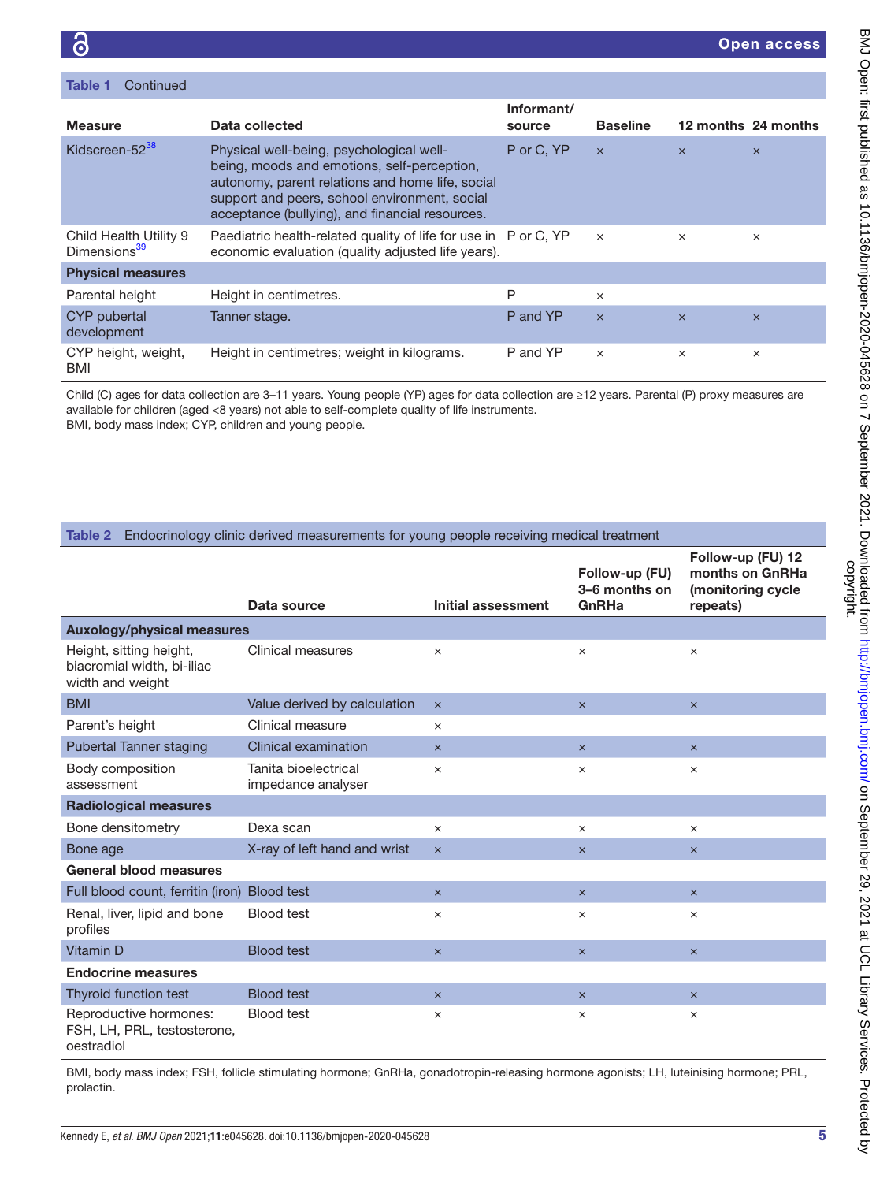| Continued<br>Table 1                               |                                                                                                                                                                                                                                                 |                      |                 |          |                     |
|----------------------------------------------------|-------------------------------------------------------------------------------------------------------------------------------------------------------------------------------------------------------------------------------------------------|----------------------|-----------------|----------|---------------------|
| <b>Measure</b>                                     | Data collected                                                                                                                                                                                                                                  | Informant/<br>source | <b>Baseline</b> |          | 12 months 24 months |
| Kidscreen-52 <sup>38</sup>                         | Physical well-being, psychological well-<br>being, moods and emotions, self-perception,<br>autonomy, parent relations and home life, social<br>support and peers, school environment, social<br>acceptance (bullying), and financial resources. | P or C, YP           | $\times$        | $\times$ | $\times$            |
| Child Health Utility 9<br>Dimensions <sup>39</sup> | Paediatric health-related quality of life for use in P or C, YP<br>economic evaluation (quality adjusted life years).                                                                                                                           |                      | $\times$        | $\times$ | $\times$            |
| <b>Physical measures</b>                           |                                                                                                                                                                                                                                                 |                      |                 |          |                     |
| Parental height                                    | Height in centimetres.                                                                                                                                                                                                                          | P                    | $\times$        |          |                     |
| CYP pubertal<br>development                        | Tanner stage.                                                                                                                                                                                                                                   | P and YP             | $\times$        | $\times$ | $\times$            |
| CYP height, weight,<br>BMI                         | Height in centimetres; weight in kilograms.                                                                                                                                                                                                     | P and YP             | $\times$        | $\times$ | $\times$            |

Child (C) ages for data collection are 3–11 years. Young people (YP) ages for data collection are ≥12 years. Parental (P) proxy measures are available for children (aged <8 years) not able to self-complete quality of life instruments. BMI, body mass index; CYP, children and young people.

<span id="page-4-0"></span>

|  |  | Table 2 Endocrinology clinic derived measurements for young people receiving medical treatment |  |
|--|--|------------------------------------------------------------------------------------------------|--|
|--|--|------------------------------------------------------------------------------------------------|--|

|                                                                           |                                            |                    | Follow-up (FU)<br>3-6 months on | Follow-up (FU) 12<br>months on GnRHa<br>(monitoring cycle |  |
|---------------------------------------------------------------------------|--------------------------------------------|--------------------|---------------------------------|-----------------------------------------------------------|--|
|                                                                           | Data source                                | Initial assessment | GnRHa                           | repeats)                                                  |  |
| <b>Auxology/physical measures</b>                                         |                                            |                    |                                 |                                                           |  |
| Height, sitting height,<br>biacromial width, bi-iliac<br>width and weight | Clinical measures                          | $\times$           | ×                               | $\times$                                                  |  |
| <b>BMI</b>                                                                | Value derived by calculation               | $\times$           | $\times$                        | $\times$                                                  |  |
| Parent's height                                                           | Clinical measure                           | $\times$           |                                 |                                                           |  |
| <b>Pubertal Tanner staging</b>                                            | Clinical examination                       | $\times$           | $\times$                        | $\boldsymbol{\times}$                                     |  |
| Body composition<br>assessment                                            | Tanita bioelectrical<br>impedance analyser | $\times$           | ×                               | ×                                                         |  |
| <b>Radiological measures</b>                                              |                                            |                    |                                 |                                                           |  |
| Bone densitometry                                                         | Dexa scan                                  | $\times$           | $\times$                        | $\times$                                                  |  |
| Bone age                                                                  | X-ray of left hand and wrist               | $\times$           | $\times$                        | $\times$                                                  |  |
| <b>General blood measures</b>                                             |                                            |                    |                                 |                                                           |  |
| Full blood count, ferritin (iron)                                         | <b>Blood test</b>                          | $\times$           | $\times$                        | $\times$                                                  |  |
| Renal, liver, lipid and bone<br>profiles                                  | <b>Blood test</b>                          | $\times$           | $\times$                        | $\times$                                                  |  |
| Vitamin D                                                                 | <b>Blood test</b>                          | $\times$           | $\times$                        | $\times$                                                  |  |
| <b>Endocrine measures</b>                                                 |                                            |                    |                                 |                                                           |  |
| Thyroid function test                                                     | <b>Blood test</b>                          | $\times$           | $\times$                        | $\times$                                                  |  |
| Reproductive hormones:<br>FSH, LH, PRL, testosterone,<br>oestradiol       | <b>Blood test</b>                          | $\times$           | ×                               | $\times$                                                  |  |

BMI, body mass index; FSH, follicle stimulating hormone; GnRHa, gonadotropin-releasing hormone agonists; LH, luteinising hormone; PRL, prolactin.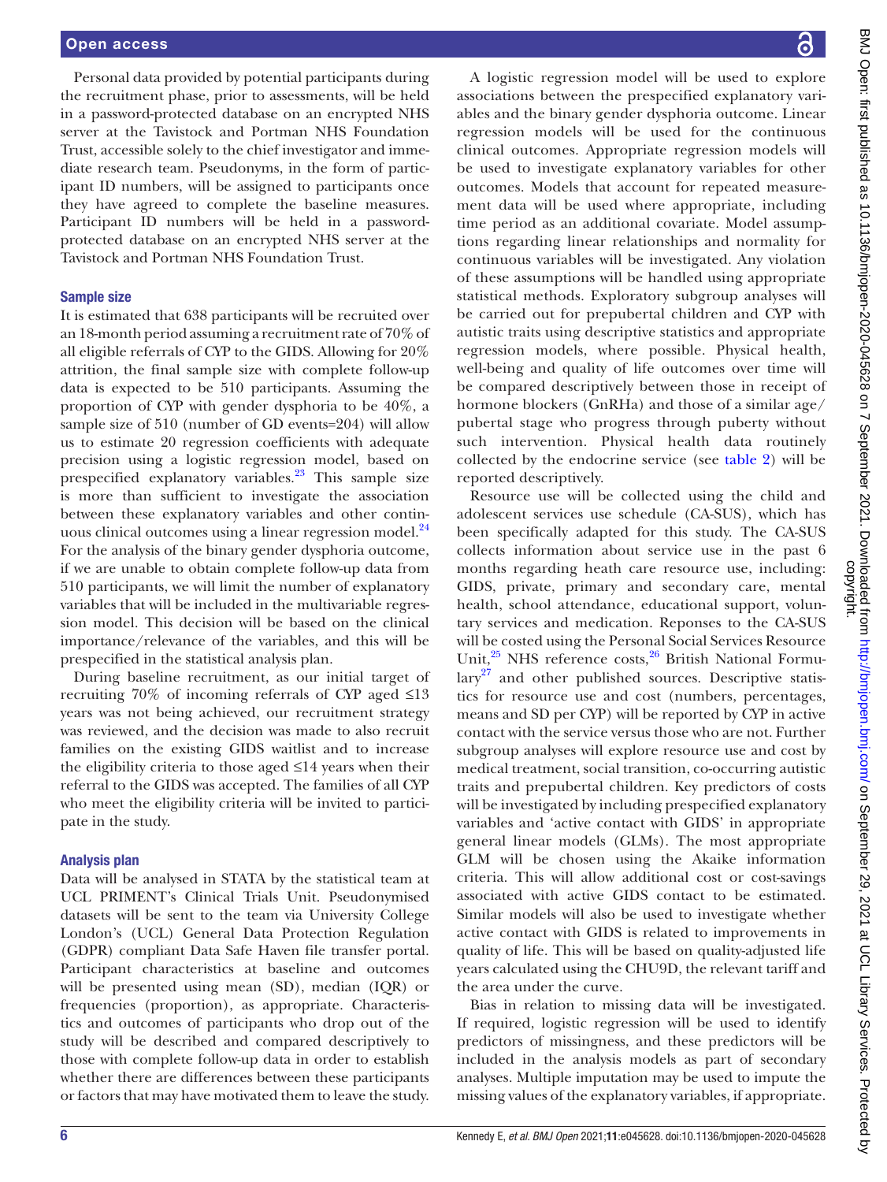Personal data provided by potential participants during the recruitment phase, prior to assessments, will be held in a password-protected database on an encrypted NHS server at the Tavistock and Portman NHS Foundation Trust, accessible solely to the chief investigator and immediate research team. Pseudonyms, in the form of participant ID numbers, will be assigned to participants once they have agreed to complete the baseline measures. Participant ID numbers will be held in a passwordprotected database on an encrypted NHS server at the Tavistock and Portman NHS Foundation Trust.

### Sample size

It is estimated that 638 participants will be recruited over an 18-month period assuming a recruitment rate of 70% of all eligible referrals of CYP to the GIDS. Allowing for 20% attrition, the final sample size with complete follow-up data is expected to be 510 participants. Assuming the proportion of CYP with gender dysphoria to be 40%, a sample size of 510 (number of GD events=204) will allow us to estimate 20 regression coefficients with adequate precision using a logistic regression model, based on prespecified explanatory variables.<sup>23</sup> This sample size is more than sufficient to investigate the association between these explanatory variables and other continuous clinical outcomes using a linear regression model.<sup>24</sup> For the analysis of the binary gender dysphoria outcome, if we are unable to obtain complete follow-up data from 510 participants, we will limit the number of explanatory variables that will be included in the multivariable regression model. This decision will be based on the clinical importance/relevance of the variables, and this will be prespecified in the statistical analysis plan.

During baseline recruitment, as our initial target of recruiting 70% of incoming referrals of CYP aged ≤13 years was not being achieved, our recruitment strategy was reviewed, and the decision was made to also recruit families on the existing GIDS waitlist and to increase the eligibility criteria to those aged ≤14 years when their referral to the GIDS was accepted. The families of all CYP who meet the eligibility criteria will be invited to participate in the study.

### Analysis plan

Data will be analysed in STATA by the statistical team at UCL PRIMENT's Clinical Trials Unit. Pseudonymised datasets will be sent to the team via University College London's (UCL) General Data Protection Regulation (GDPR) compliant Data Safe Haven file transfer portal. Participant characteristics at baseline and outcomes will be presented using mean (SD), median (IQR) or frequencies (proportion), as appropriate. Characteristics and outcomes of participants who drop out of the study will be described and compared descriptively to those with complete follow-up data in order to establish whether there are differences between these participants or factors that may have motivated them to leave the study.

A logistic regression model will be used to explore associations between the prespecified explanatory variables and the binary gender dysphoria outcome. Linear regression models will be used for the continuous clinical outcomes. Appropriate regression models will be used to investigate explanatory variables for other outcomes. Models that account for repeated measurement data will be used where appropriate, including time period as an additional covariate. Model assumptions regarding linear relationships and normality for continuous variables will be investigated. Any violation of these assumptions will be handled using appropriate statistical methods. Exploratory subgroup analyses will be carried out for prepubertal children and CYP with autistic traits using descriptive statistics and appropriate regression models, where possible. Physical health, well-being and quality of life outcomes over time will be compared descriptively between those in receipt of hormone blockers (GnRHa) and those of a similar age/ pubertal stage who progress through puberty without such intervention. Physical health data routinely collected by the endocrine service (see [table](#page-4-0) 2) will be reported descriptively.

Resource use will be collected using the child and adolescent services use schedule (CA-SUS), which has been specifically adapted for this study. The CA-SUS collects information about service use in the past 6 months regarding heath care resource use, including: GIDS, private, primary and secondary care, mental health, school attendance, educational support, voluntary services and medication. Reponses to the CA-SUS will be costed using the Personal Social Services Resource Unit,<sup>[25](#page-7-18)</sup> NHS reference costs,<sup>26</sup> British National Formu- $lary<sup>27</sup>$  $lary<sup>27</sup>$  $lary<sup>27</sup>$  and other published sources. Descriptive statistics for resource use and cost (numbers, percentages, means and SD per CYP) will be reported by CYP in active contact with the service versus those who are not. Further subgroup analyses will explore resource use and cost by medical treatment, social transition, co-occurring autistic traits and prepubertal children. Key predictors of costs will be investigated by including prespecified explanatory variables and 'active contact with GIDS' in appropriate general linear models (GLMs). The most appropriate GLM will be chosen using the Akaike information criteria. This will allow additional cost or cost-savings associated with active GIDS contact to be estimated. Similar models will also be used to investigate whether active contact with GIDS is related to improvements in quality of life. This will be based on quality-adjusted life years calculated using the CHU9D, the relevant tariff and the area under the curve.

Bias in relation to missing data will be investigated. If required, logistic regression will be used to identify predictors of missingness, and these predictors will be included in the analysis models as part of secondary analyses. Multiple imputation may be used to impute the missing values of the explanatory variables, if appropriate.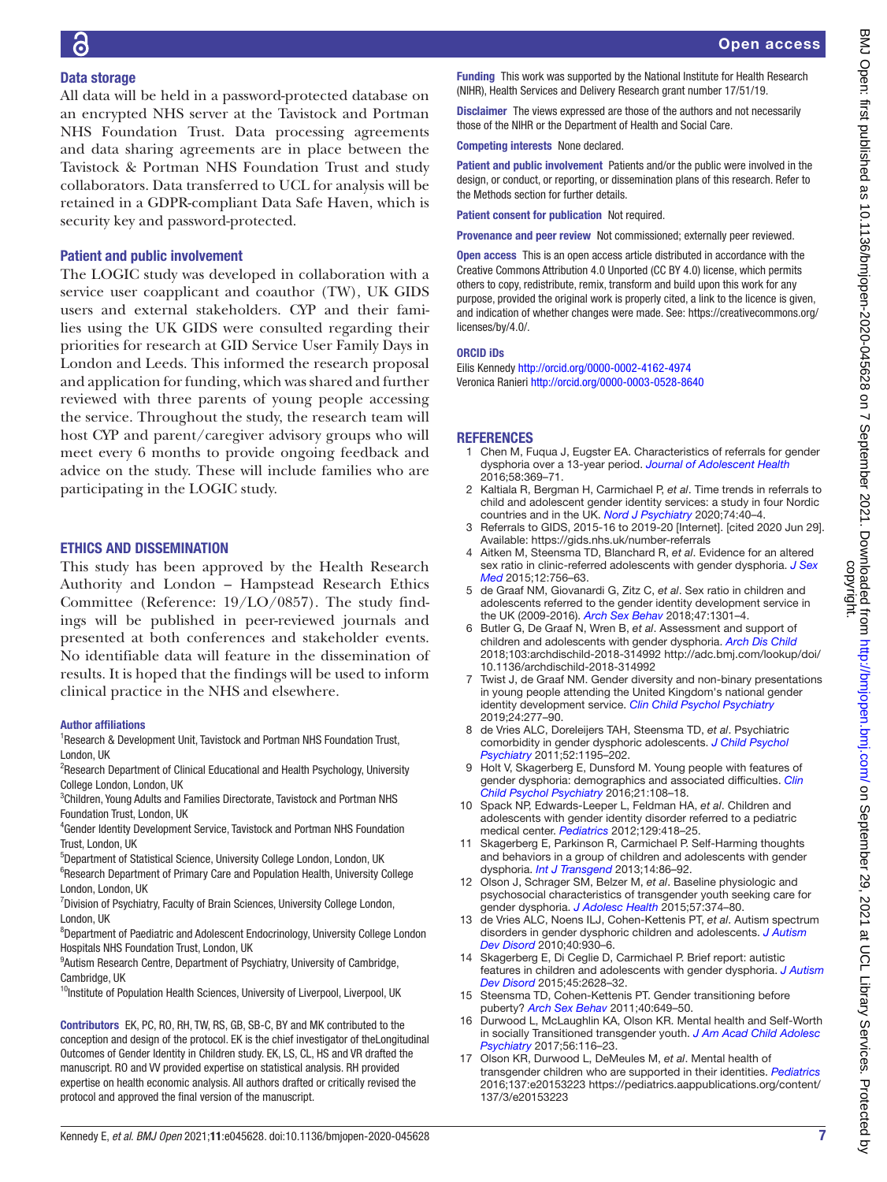# Data storage

All data will be held in a password-protected database on an encrypted NHS server at the Tavistock and Portman NHS Foundation Trust. Data processing agreements and data sharing agreements are in place between the Tavistock & Portman NHS Foundation Trust and study collaborators. Data transferred to UCL for analysis will be retained in a GDPR-compliant Data Safe Haven, which is security key and password-protected.

# Patient and public involvement

The LOGIC study was developed in collaboration with a service user coapplicant and coauthor (TW), UK GIDS users and external stakeholders. CYP and their families using the UK GIDS were consulted regarding their priorities for research at GID Service User Family Days in London and Leeds. This informed the research proposal and application for funding, which was shared and further reviewed with three parents of young people accessing the service. Throughout the study, the research team will host CYP and parent/caregiver advisory groups who will meet every 6 months to provide ongoing feedback and advice on the study. These will include families who are participating in the LOGIC study.

# ETHICS AND DISSEMINATION

This study has been approved by the Health Research Authority and London – Hampstead Research Ethics Committee (Reference: 19/LO/0857). The study findings will be published in peer-reviewed journals and presented at both conferences and stakeholder events. No identifiable data will feature in the dissemination of results. It is hoped that the findings will be used to inform clinical practice in the NHS and elsewhere.

### Author affiliations

<sup>1</sup> Research & Development Unit, Tavistock and Portman NHS Foundation Trust, London, UK

- <sup>2</sup>Research Department of Clinical Educational and Health Psychology, University College London, London, UK
- <sup>3</sup>Children, Young Adults and Families Directorate, Tavistock and Portman NHS Foundation Trust, London, UK
- 4 Gender Identity Development Service, Tavistock and Portman NHS Foundation Trust, London, UK
- <sup>5</sup>Department of Statistical Science, University College London, London, UK
- <sup>6</sup>Research Department of Primary Care and Population Health, University College London, London, UK
- <sup>7</sup> Division of Psychiatry, Faculty of Brain Sciences, University College London, London, UK
- <sup>8</sup>Department of Paediatric and Adolescent Endocrinology, University College London Hospitals NHS Foundation Trust, London, UK
- <sup>9</sup> Autism Research Centre, Department of Psychiatry, University of Cambridge, Cambridge, UK
- <sup>10</sup>Institute of Population Health Sciences, University of Liverpool, Liverpool, UK

Contributors EK, PC, RO, RH, TW, RS, GB, SB-C, BY and MK contributed to the conception and design of the protocol. EK is the chief investigator of theLongitudinal Outcomes of Gender Identity in Children study. EK, LS, CL, HS and VR drafted the manuscript. RO and VV provided expertise on statistical analysis. RH provided expertise on health economic analysis. All authors drafted or critically revised the protocol and approved the final version of the manuscript.

Funding This work was supported by the National Institute for Health Research (NIHR), Health Services and Delivery Research grant number 17/51/19.

Disclaimer The views expressed are those of the authors and not necessarily those of the NIHR or the Department of Health and Social Care.

Competing interests None declared.

Patient and public involvement Patients and/or the public were involved in the design, or conduct, or reporting, or dissemination plans of this research. Refer to the Methods section for further details.

Patient consent for publication Not required.

Provenance and peer review Not commissioned; externally peer reviewed.

Open access This is an open access article distributed in accordance with the Creative Commons Attribution 4.0 Unported (CC BY 4.0) license, which permits others to copy, redistribute, remix, transform and build upon this work for any purpose, provided the original work is properly cited, a link to the licence is given, and indication of whether changes were made. See: [https://creativecommons.org/](https://creativecommons.org/licenses/by/4.0/) [licenses/by/4.0/](https://creativecommons.org/licenses/by/4.0/).

### ORCID iDs

Eilis Kennedy<http://orcid.org/0000-0002-4162-4974> Veronica Ranieri <http://orcid.org/0000-0003-0528-8640>

# REFERENCES

- <span id="page-6-0"></span>1 Chen M, Fuqua J, Eugster EA. Characteristics of referrals for gender dysphoria over a 13-year period. *[Journal of Adolescent Health](http://dx.doi.org/10.1016/j.jadohealth.2015.11.010)* 2016;58:369–71.
- 2 Kaltiala R, Bergman H, Carmichael P, *et al*. Time trends in referrals to child and adolescent gender identity services: a study in four Nordic countries and in the UK. *[Nord J Psychiatry](http://dx.doi.org/10.1080/08039488.2019.1667429)* 2020;74:40–4.
- <span id="page-6-1"></span>3 Referrals to GIDS, 2015-16 to 2019-20 [Internet]. [cited 2020 Jun 29]. Available: <https://gids.nhs.uk/number-referrals>
- <span id="page-6-2"></span>4 Aitken M, Steensma TD, Blanchard R, *et al*. Evidence for an altered sex ratio in clinic-referred adolescents with gender dysphoria. *[J Sex](http://dx.doi.org/10.1111/jsm.12817)  [Med](http://dx.doi.org/10.1111/jsm.12817)* 2015;12:756–63.
- 5 de Graaf NM, Giovanardi G, Zitz C, *et al*. Sex ratio in children and adolescents referred to the gender identity development service in the UK (2009-2016). *[Arch Sex Behav](http://dx.doi.org/10.1007/s10508-018-1204-9)* 2018;47:1301–4.
- <span id="page-6-3"></span>6 Butler G, De Graaf N, Wren B, *et al*. Assessment and support of children and adolescents with gender dysphoria. *[Arch Dis Child](http://dx.doi.org/10.1136/archdischild-2018-314992)* 2018;103:archdischild-2018-314992 [http://adc.bmj.com/lookup/doi/](http://adc.bmj.com/lookup/doi/10.1136/archdischild-2018-314992) [10.1136/archdischild-2018-314992](http://adc.bmj.com/lookup/doi/10.1136/archdischild-2018-314992)
- <span id="page-6-9"></span>7 Twist J, de Graaf NM. Gender diversity and non-binary presentations in young people attending the United Kingdom's national gender identity development service. *[Clin Child Psychol Psychiatry](http://dx.doi.org/10.1177/1359104518804311)* 2019;24:277–90.
- <span id="page-6-4"></span>8 de Vries ALC, Doreleijers TAH, Steensma TD, *et al*. Psychiatric comorbidity in gender dysphoric adolescents. *[J Child Psychol](http://dx.doi.org/10.1111/j.1469-7610.2011.02426.x)  [Psychiatry](http://dx.doi.org/10.1111/j.1469-7610.2011.02426.x)* 2011;52:1195–202.
- 9 Holt V, Skagerberg E, Dunsford M. Young people with features of gender dysphoria: demographics and associated difficulties. *[Clin](http://dx.doi.org/10.1177/1359104514558431)  [Child Psychol Psychiatry](http://dx.doi.org/10.1177/1359104514558431)* 2016;21:108–18.
- <span id="page-6-5"></span>10 Spack NP, Edwards-Leeper L, Feldman HA, *et al*. Children and adolescents with gender identity disorder referred to a pediatric medical center. *[Pediatrics](http://dx.doi.org/10.1542/peds.2011-0907)* 2012;129:418–25.
- 11 Skagerberg E, Parkinson R, Carmichael P. Self-Harming thoughts and behaviors in a group of children and adolescents with gender dysphoria. *[Int J Transgend](http://dx.doi.org/10.1080/15532739.2013.817321)* 2013;14:86–92.
- 12 Olson J, Schrager SM, Belzer M, *et al*. Baseline physiologic and psychosocial characteristics of transgender youth seeking care for gender dysphoria. *[J Adolesc Health](http://dx.doi.org/10.1016/j.jadohealth.2015.04.027)* 2015;57:374–80.
- <span id="page-6-6"></span>13 de Vries ALC, Noens ILJ, Cohen-Kettenis PT, *et al*. Autism spectrum disorders in gender dysphoric children and adolescents. *[J Autism](http://dx.doi.org/10.1007/s10803-010-0935-9)  [Dev Disord](http://dx.doi.org/10.1007/s10803-010-0935-9)* 2010;40:930–6.
- 14 Skagerberg E, Di Ceglie D, Carmichael P. Brief report: autistic features in children and adolescents with gender dysphoria. *[J Autism](http://dx.doi.org/10.1007/s10803-015-2413-x)  [Dev Disord](http://dx.doi.org/10.1007/s10803-015-2413-x)* 2015;45:2628–32.
- <span id="page-6-7"></span>15 Steensma TD, Cohen-Kettenis PT. Gender transitioning before puberty? *[Arch Sex Behav](http://dx.doi.org/10.1007/s10508-011-9752-2)* 2011;40:649–50.
- <span id="page-6-8"></span>16 Durwood L, McLaughlin KA, Olson KR. Mental health and Self-Worth in socially Transitioned transgender youth. *[J Am Acad Child Adolesc](http://dx.doi.org/10.1016/j.jaac.2016.10.016)  [Psychiatry](http://dx.doi.org/10.1016/j.jaac.2016.10.016)* 2017;56:116–23.
- 17 Olson KR, Durwood L, DeMeules M, *et al*. Mental health of transgender children who are supported in their identities. *[Pediatrics](http://dx.doi.org/10.1542/peds.2015-3223)* 2016;137:e20153223 [https://pediatrics.aappublications.org/content/](https://pediatrics.aappublications.org/content/137/3/e20153223) [137/3/e20153223](https://pediatrics.aappublications.org/content/137/3/e20153223)